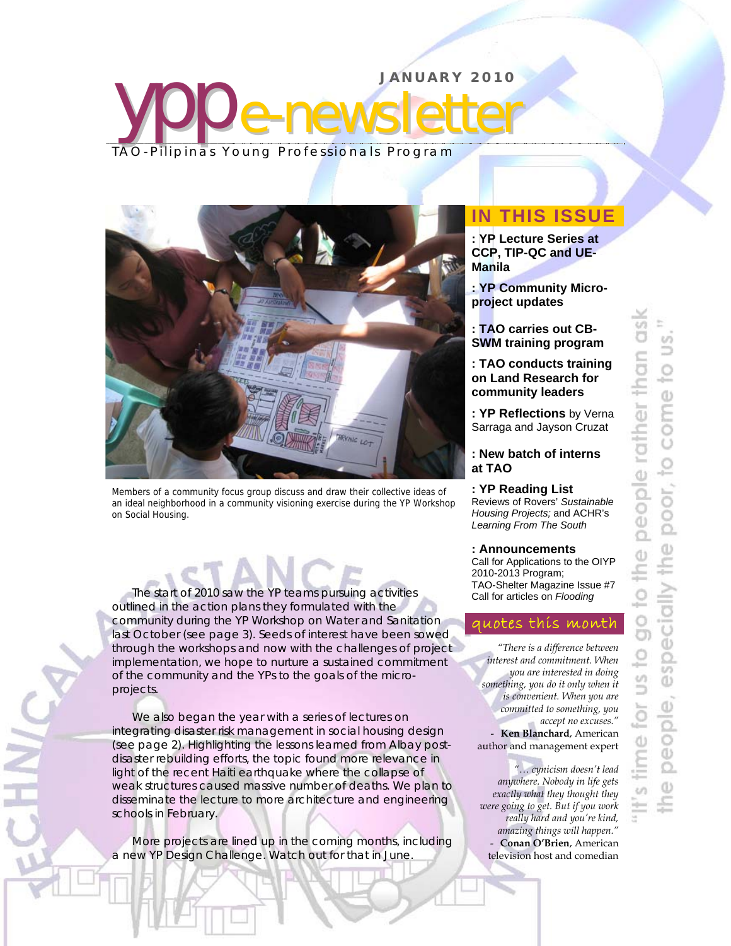



Members of a community focus group discuss and draw their collective ideas of an ideal neighborhood in a community visioning exercise during the YP Workshop on Social Housing.

The start of 2010 saw the YP teams pursuing activities outlined in the action plans they formulated with the community during the YP Workshop on Water and Sanitation last October (see page 3). Seeds of interest have been sowed through the workshops and now with the challenges of project implementation, we hope to nurture a sustained commitment of the community and the YPs to the goals of the microprojects.

We also began the year with a series of lectures on integrating disaster risk management in social housing design (see page 2). Highlighting the lessons learned from Albay postdisaster rebuilding efforts, the topic found more relevance in light of the recent Haiti earthquake where the collapse of weak structures caused massive number of deaths. We plan to disseminate the lecture to more architecture and engineering schools in February.

More projects are lined up in the coming months, including a new YP Design Challenge. Watch out for that in June.

l

# **IN THIS ISSUE**

**: YP Lecture Series at CCP, TIP-QC and UE-Manila** 

**: YP Community Microproject updates** 

**: TAO carries out CB-SWM training program** 

**: TAO conducts training on Land Research for community leaders** 

**: YP Reflections** by Verna Sarraga and Jayson Cruzat

## **: New batch of interns at TAO**

**: YP Reading List** Reviews of Rovers' *Sustainable Housing Projects;* and ACHR's *Learning From The South* 

# **: Announcements**

Call for Applications to the OIYP 2010-2013 Program; TAO-Shelter Magazine Issue #7 Call for articles on *Flooding*

# quotes this month

*"There is a difference between interest and commitment. When you are interested in doing something, you do it only when it is convenient. When you are committed to something, you accept no excuses."*  - **Ken Blanchard**, American author and management expert

*"… cynicism doesn't lead anywhere. Nobody in life gets exactly what they thought they were going to get. But if you work really hard and you're kind, amazing things will happen."*  - **Conan O'Brien**, American television host and comedian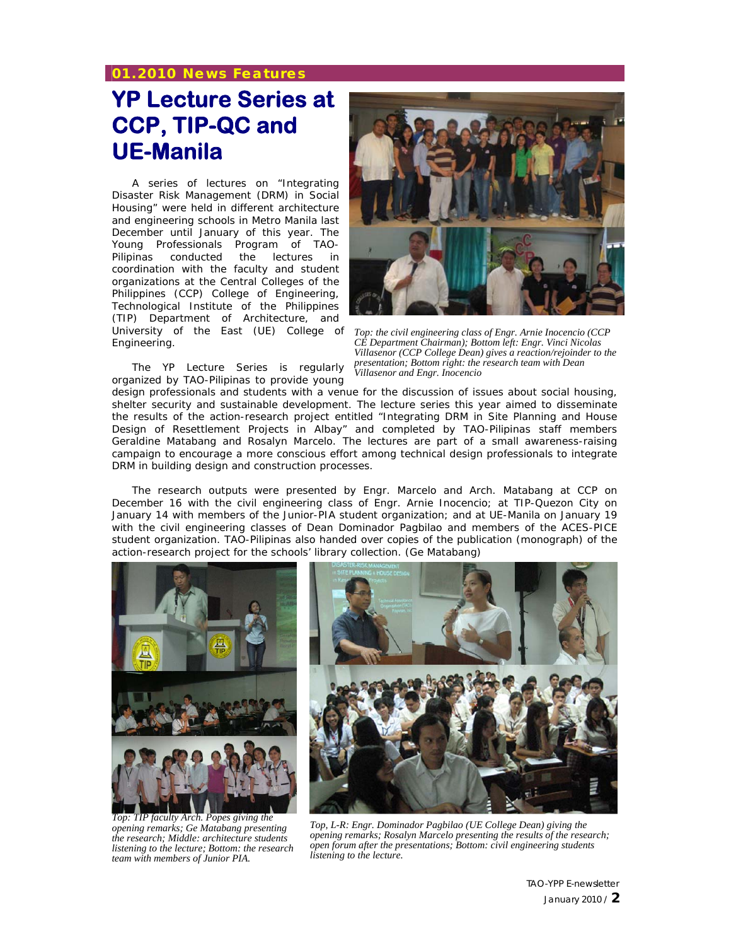# **01.2010 News Features**

# **YP Lecture Series at CCP, TIP-QC and UE-Manila**

A series of lectures on "Integrating Disaster Risk Management (DRM) in Social Housing" were held in different architecture and engineering schools in Metro Manila last December until January of this year. The Young Professionals Program of TAO-Pilipinas conducted the lectures in coordination with the faculty and student organizations at the Central Colleges of the Philippines (CCP) College of Engineering, Technological Institute of the Philippines (TIP) Department of Architecture, and University of the East (UE) College of Engineering.

The YP Lecture Series is regularly organized by TAO-Pilipinas to provide young



*Top: the civil engineering class of Engr. Arnie Inocencio (CCP CE Department Chairman); Bottom left: Engr. Vinci Nicolas Villasenor (CCP College Dean) gives a reaction/rejoinder to the presentation; Bottom right: the research team with Dean Villasenor and Engr. Inocencio* 

design professionals and students with a venue for the discussion of issues about social housing, shelter security and sustainable development. The lecture series this year aimed to disseminate the results of the action-research project entitled "*Integrating DRM in Site Planning and House Design of Resettlement Projects in Albay*" and completed by TAO-Pilipinas staff members Geraldine Matabang and Rosalyn Marcelo. The lectures are part of a small awareness-raising campaign to encourage a more conscious effort among technical design professionals to integrate DRM in building design and construction processes.

The research outputs were presented by Engr. Marcelo and Arch. Matabang at CCP on December 16 with the civil engineering class of Engr. Arnie Inocencio; at TIP-Quezon City on January 14 with members of the Junior-PIA student organization; and at UE-Manila on January 19 with the civil engineering classes of Dean Dominador Pagbilao and members of the ACES-PICE student organization. TAO-Pilipinas also handed over copies of the publication (monograph) of the action-research project for the schools' library collection. *(Ge Matabang)*



*Top: TIP faculty Arch. Popes giving the opening remarks; Ge Matabang presenting the research; Middle: architecture students listening to the lecture; Bottom: the research team with members of Junior PIA.*



*Top, L-R: Engr. Dominador Pagbilao (UE College Dean) giving the opening remarks; Rosalyn Marcelo presenting the results of the research; open forum after the presentations; Bottom: civil engineering students listening to the lecture.*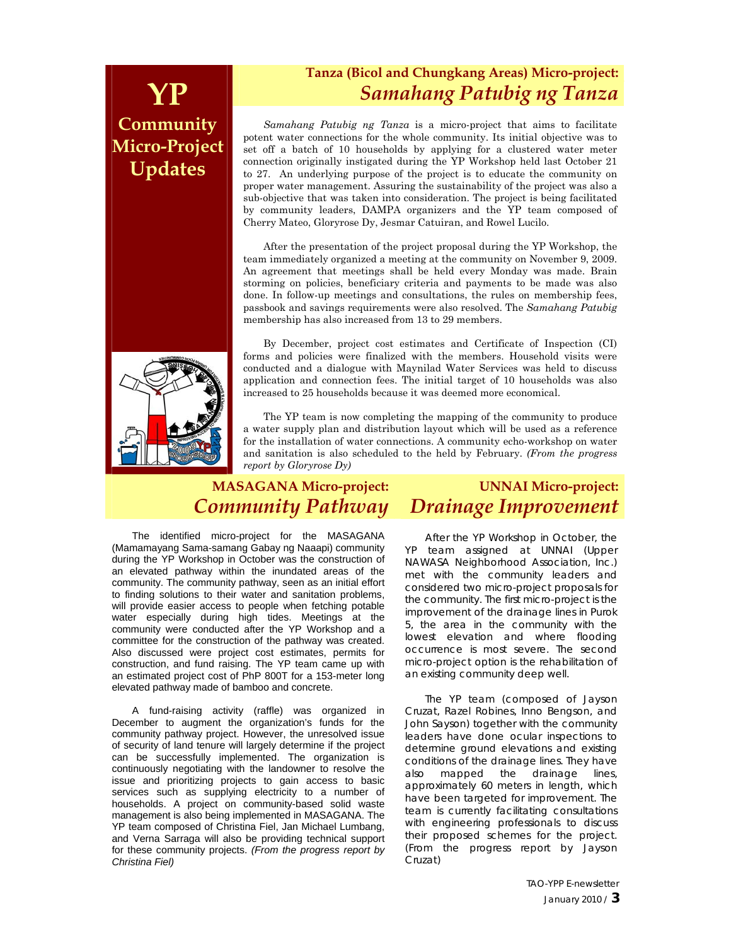# **Community Micro-Project Updates**



# **Tanza (Bicol and Chungkang Areas) Micro-project: YP** *Samahang Patubig ng Tanza*

*Samahang Patubig ng Tanza* is a micro-project that aims to facilitate potent water connections for the whole community. Its initial objective was to set off a batch of 10 households by applying for a clustered water meter connection originally instigated during the YP Workshop held last October 21 to 27. An underlying purpose of the project is to educate the community on proper water management. Assuring the sustainability of the project was also a sub-objective that was taken into consideration. The project is being facilitated by community leaders, DAMPA organizers and the YP team composed of Cherry Mateo, Gloryrose Dy, Jesmar Catuiran, and Rowel Lucilo.

After the presentation of the project proposal during the YP Workshop, the team immediately organized a meeting at the community on November 9, 2009. An agreement that meetings shall be held every Monday was made. Brain storming on policies, beneficiary criteria and payments to be made was also done. In follow-up meetings and consultations, the rules on membership fees, passbook and savings requirements were also resolved. The *Samahang Patubig* membership has also increased from 13 to 29 members.

By December, project cost estimates and Certificate of Inspection (CI) forms and policies were finalized with the members. Household visits were conducted and a dialogue with Maynilad Water Services was held to discuss application and connection fees. The initial target of 10 households was also increased to 25 households because it was deemed more economical.

The YP team is now completing the mapping of the community to produce a water supply plan and distribution layout which will be used as a reference for the installation of water connections. A community echo-workshop on water and sanitation is also scheduled to the held by February. *(From the progress report by Gloryrose Dy)*

#### **MASAGANA Micro-project:** *Community Pathway* **UNNAI Micro-project:** *Drainage Improvement*

The identified micro-project for the MASAGANA (Mamamayang Sama-samang Gabay ng Naaapi) community during the YP Workshop in October was the construction of an elevated pathway within the inundated areas of the community. The community pathway, seen as an initial effort to finding solutions to their water and sanitation problems, will provide easier access to people when fetching potable water especially during high tides. Meetings at the community were conducted after the YP Workshop and a committee for the construction of the pathway was created. Also discussed were project cost estimates, permits for construction, and fund raising. The YP team came up with an estimated project cost of PhP 800T for a 153-meter long elevated pathway made of bamboo and concrete.

A fund-raising activity (raffle) was organized in December to augment the organization's funds for the community pathway project. However, the unresolved issue of security of land tenure will largely determine if the project can be successfully implemented. The organization is continuously negotiating with the landowner to resolve the issue and prioritizing projects to gain access to basic services such as supplying electricity to a number of households. A project on community-based solid waste management is also being implemented in MASAGANA. The YP team composed of Christina Fiel, Jan Michael Lumbang, and Verna Sarraga will also be providing technical support for these community projects. *(From the progress report by Christina Fiel)*

After the YP Workshop in October, the YP team assigned at UNNAI (Upper NAWASA Neighborhood Association, Inc.) met with the community leaders and considered two micro-project proposals for the community. The first micro-project is the improvement of the drainage lines in Purok 5, the area in the community with the lowest elevation and where flooding occurrence is most severe. The second micro-project option is the rehabilitation of an existing community deep well.

The YP team (composed of Jayson Cruzat, Razel Robines, Inno Bengson, and John Sayson) together with the community leaders have done ocular inspections to determine ground elevations and existing conditions of the drainage lines. They have also mapped the drainage lines, approximately 60 meters in length, which have been targeted for improvement. The team is currently facilitating consultations with engineering professionals to discuss their proposed schemes for the project. *(From the progress report by Jayson Cruzat)*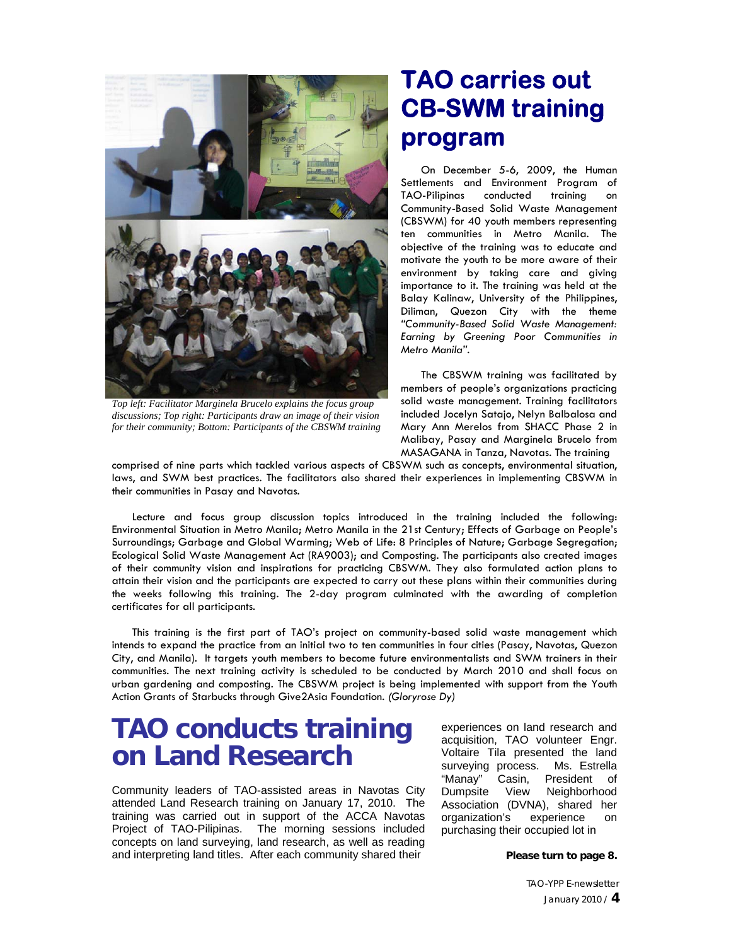

*Top left: Facilitator Marginela Brucelo explains the focus group discussions; Top right: Participants draw an image of their vision for their community; Bottom: Participants of the CBSWM training*

# **TAO carries out CB-SWM training program**

On December 5-6, 2009, the Human Settlements and Environment Program of TAO-Pilipinas conducted training on Community-Based Solid Waste Management (CBSWM) for 40 youth members representing ten communities in Metro Manila. The objective of the training was to educate and motivate the youth to be more aware of their environment by taking care and giving importance to it. The training was held at the Balay Kalinaw, University of the Philippines, Diliman, Quezon City with the theme *"Community-Based Solid Waste Management: Earning by Greening Poor Communities in Metro Manila".* 

The CBSWM training was facilitated by members of people's organizations practicing solid waste management. Training facilitators included Jocelyn Satajo, Nelyn Balbalosa and Mary Ann Merelos from SHACC Phase 2 in Malibay, Pasay and Marginela Brucelo from MASAGANA in Tanza, Navotas. The training

comprised of nine parts which tackled various aspects of CBSWM such as concepts, environmental situation, laws, and SWM best practices. The facilitators also shared their experiences in implementing CBSWM in their communities in Pasay and Navotas.

Lecture and focus group discussion topics introduced in the training included the following: Environmental Situation in Metro Manila; Metro Manila in the 21st Century; Effects of Garbage on People's Surroundings; Garbage and Global Warming; Web of Life: 8 Principles of Nature; Garbage Segregation; Ecological Solid Waste Management Act (RA9003); and Composting. The participants also created images of their community vision and inspirations for practicing CBSWM. They also formulated action plans to attain their vision and the participants are expected to carry out these plans within their communities during the weeks following this training. The 2-day program culminated with the awarding of completion certificates for all participants.

This training is the first part of TAO's project on community-based solid waste management which intends to expand the practice from an initial two to ten communities in four cities (Pasay, Navotas, Quezon City, and Manila). It targets youth members to become future environmentalists and SWM trainers in their communities. The next training activity is scheduled to be conducted by March 2010 and shall focus on urban gardening and composting. The CBSWM project is being implemented with support from the Youth Action Grants of Starbucks through Give2Asia Foundation. *(Gloryrose Dy)*

# **TAO conducts training on Land Research**

Community leaders of TAO-assisted areas in Navotas City attended Land Research training on January 17, 2010. The training was carried out in support of the ACCA Navotas Project of TAO-Pilipinas. The morning sessions included concepts on land surveying, land research, as well as reading and interpreting land titles. After each community shared their

experiences on land research and acquisition, TAO volunteer Engr. Voltaire Tila presented the land surveying process. Ms. Estrella "Manay" Casin, President of Dumpsite View Neighborhood Association (DVNA), shared her organization's experience on purchasing their occupied lot in

**Please turn to page 8.**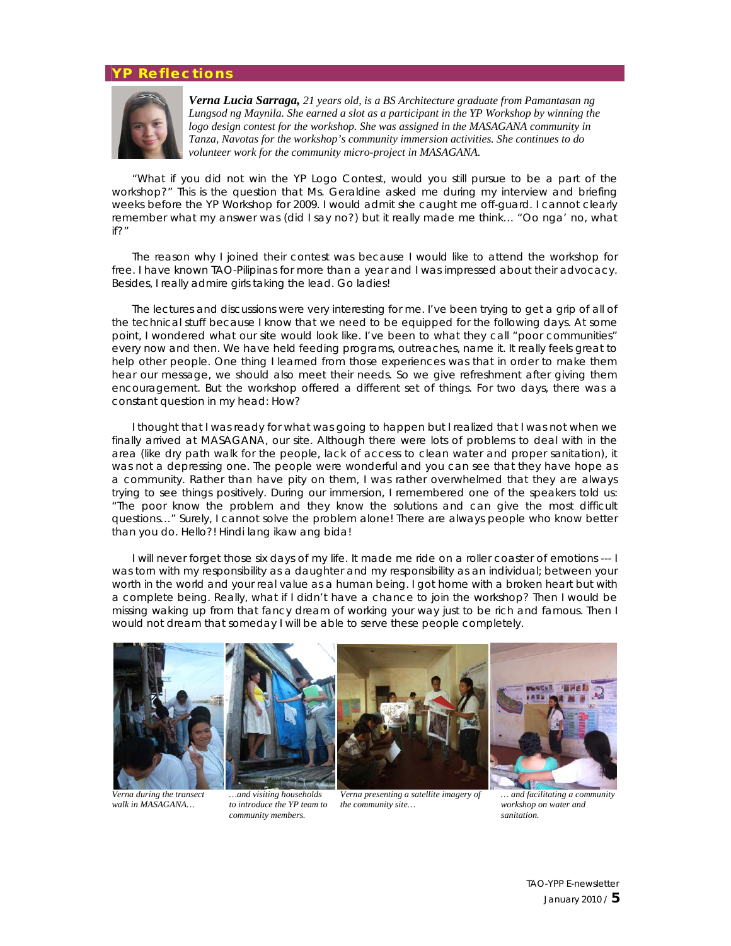### **YP Reflections**



*Verna Lucia Sarraga, 21 years old, is a BS Architecture graduate from Pamantasan ng Lungsod ng Maynila. She earned a slot as a participant in the YP Workshop by winning the logo design contest for the workshop. She was assigned in the MASAGANA community in Tanza, Navotas for the workshop's community immersion activities. She continues to do volunteer work for the community micro-project in MASAGANA.*

"*What if you did not win the YP Logo Contest, would you still pursue to be a part of the workshop?"* This is the question that Ms. Geraldine asked me during my interview and briefing weeks before the YP Workshop for 2009. I would admit she caught me off-guard. I cannot clearly remember what my answer was (did I say no?) but it really made me think… *"Oo nga' no, what if?"*

The reason why I joined their contest was because I would like to attend the workshop for free. I have known TAO-Pilipinas for more than a year and I was impressed about their advocacy. Besides, I really admire girls taking the lead. Go ladies!

The lectures and discussions were very interesting for me. I've been trying to get a grip of all of the technical stuff because I know that we need to be equipped for the following days. At some point, I wondered what our site would look like. I've been to what they call "poor communities" every now and then. We have held feeding programs, outreaches, name it. It really feels great to help other people. One thing I learned from those experiences was that in order to make them hear our message, we should also meet their needs. So we give refreshment after giving them encouragement. But the workshop offered a different set of things. For two days, there was a constant question in my head: How?

I thought that I was ready for what was going to happen but I realized that I was not when we finally arrived at MASAGANA, our site. Although there were lots of problems to deal with in the area (like dry path walk for the people, lack of access to clean water and proper sanitation), it was not a depressing one. The people were wonderful and you can see that they have hope as a community. Rather than have pity on them, I was rather overwhelmed that they are always trying to see things positively. During our immersion, I remembered one of the speakers told us: "The poor know the problem and they know the solutions and can give the most difficult questions…" Surely, I cannot solve the problem alone! There are always people who know better than you do. *Hello?! Hindi lang ikaw ang bida!*

I will never forget those six days of my life. It made me ride on a roller coaster of emotions --- I was torn with my responsibility as a daughter and my responsibility as an individual; between your worth in the world and your real value as a human being. I got home with a broken heart but with a complete being. Really, what if I didn't have a chance to join the workshop? Then I would be missing waking up from that fancy dream of working your way just to be rich and famous. Then I would not dream that someday I will be able to serve these people completely.



*Verna during the transect walk in MASAGANA…*











*… and facilitating a community workshop on water and sanitation.*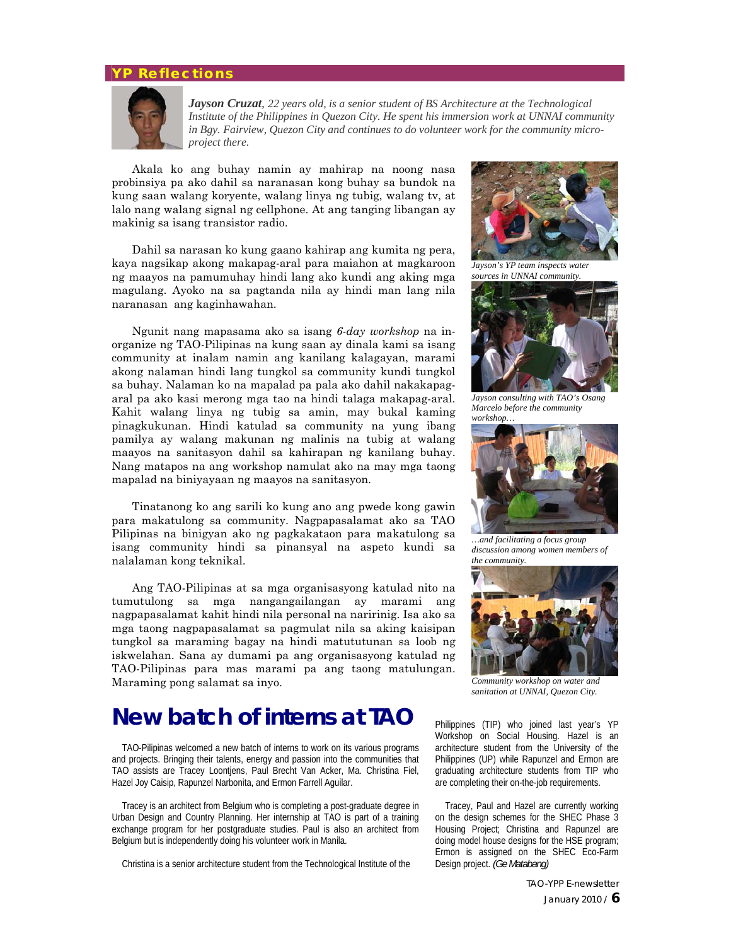### **YP Reflections**



*Jayson Cruzat, 22 years old, is a senior student of BS Architecture at the Technological Institute of the Philippines in Quezon City. He spent his immersion work at UNNAI community in Bgy. Fairview, Quezon City and continues to do volunteer work for the community microproject there.*

Akala ko ang buhay namin ay mahirap na noong nasa probinsiya pa ako dahil sa naranasan kong buhay sa bundok na kung saan walang koryente, walang linya ng tubig, walang tv, at lalo nang walang signal ng cellphone. At ang tanging libangan ay makinig sa isang transistor radio.

Dahil sa narasan ko kung gaano kahirap ang kumita ng pera, kaya nagsikap akong makapag-aral para maiahon at magkaroon ng maayos na pamumuhay hindi lang ako kundi ang aking mga magulang. Ayoko na sa pagtanda nila ay hindi man lang nila naranasan ang kaginhawahan.

Ngunit nang mapasama ako sa isang *6-day workshop* na inorganize ng TAO-Pilipinas na kung saan ay dinala kami sa isang community at inalam namin ang kanilang kalagayan, marami akong nalaman hindi lang tungkol sa community kundi tungkol sa buhay. Nalaman ko na mapalad pa pala ako dahil nakakapagaral pa ako kasi merong mga tao na hindi talaga makapag-aral. Kahit walang linya ng tubig sa amin, may bukal kaming pinagkukunan. Hindi katulad sa community na yung ibang pamilya ay walang makunan ng malinis na tubig at walang maayos na sanitasyon dahil sa kahirapan ng kanilang buhay. Nang matapos na ang workshop namulat ako na may mga taong mapalad na biniyayaan ng maayos na sanitasyon.

Tinatanong ko ang sarili ko kung ano ang pwede kong gawin para makatulong sa community. Nagpapasalamat ako sa TAO Pilipinas na binigyan ako ng pagkakataon para makatulong sa isang community hindi sa pinansyal na aspeto kundi sa nalalaman kong teknikal.

Ang TAO-Pilipinas at sa mga organisasyong katulad nito na tumutulong sa mga nangangailangan ay marami ang nagpapasalamat kahit hindi nila personal na naririnig. Isa ako sa mga taong nagpapasalamat sa pagmulat nila sa aking kaisipan tungkol sa maraming bagay na hindi matututunan sa loob ng iskwelahan. Sana ay dumami pa ang organisasyong katulad ng TAO-Pilipinas para mas marami pa ang taong matulungan. Maraming pong salamat sa inyo. *Community workshop on water and* 

# **New batch of interns at TAO**

TAO-Pilipinas welcomed a new batch of interns to work on its various programs and projects. Bringing their talents, energy and passion into the communities that TAO assists are Tracey Loontjens, Paul Brecht Van Acker, Ma. Christina Fiel, Hazel Joy Caisip, Rapunzel Narbonita, and Ermon Farrell Aguilar.

Tracey is an architect from Belgium who is completing a post-graduate degree in Urban Design and Country Planning. Her internship at TAO is part of a training exchange program for her postgraduate studies. Paul is also an architect from Belgium but is independently doing his volunteer work in Manila.

Christina is a senior architecture student from the Technological Institute of the



*Jayson's YP team inspects water sources in UNNAI community.* 



*Jayson consulting with TAO's Osang Marcelo before the community workshop…* 



*…and facilitating a focus group discussion among women members of* 



*sanitation at UNNAI, Quezon City.* 

Philippines (TIP) who joined last year's YP Workshop on Social Housing. Hazel is an architecture student from the University of the Philippines (UP) while Rapunzel and Ermon are graduating architecture students from TIP who are completing their on-the-job requirements.

Tracey, Paul and Hazel are currently working on the design schemes for the SHEC Phase 3 Housing Project; Christina and Rapunzel are doing model house designs for the HSE program; Ermon is assigned on the SHEC Eco-Farm Design project. *(Ge Matabang)*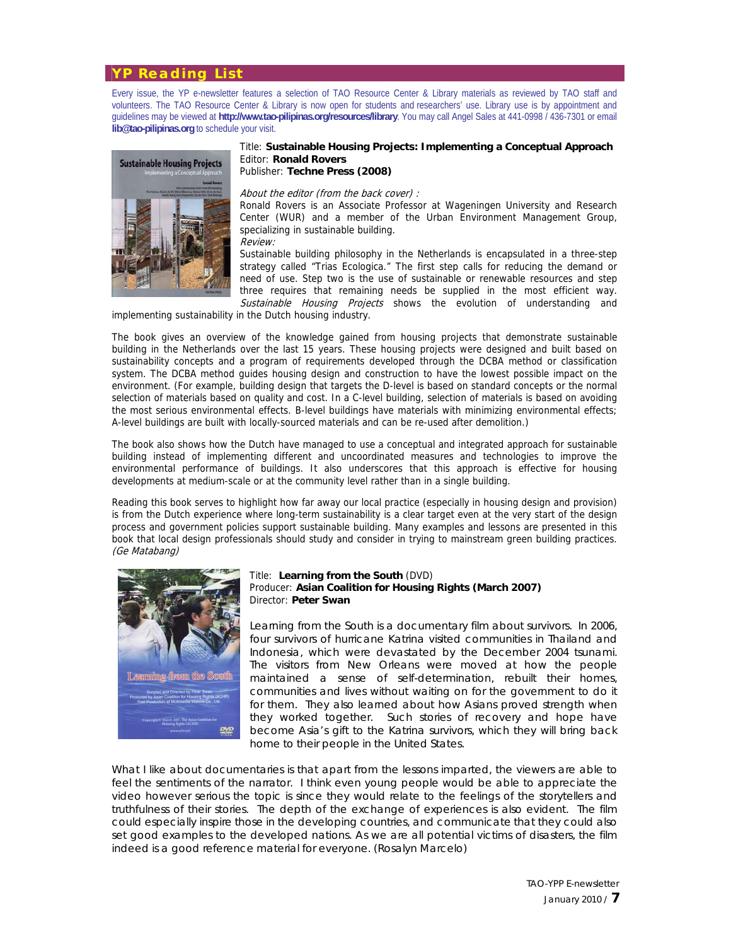### **YP Reading List**

Every issue, the YP e-newsletter features a selection of TAO Resource Center & Library materials as reviewed by TAO staff and volunteers. The TAO Resource Center & Library is now open for students and researchers' use. Library use is by appointment and guidelines may be viewed at **http://www.tao-pilipinas.org/resources/library**. You may call Angel Sales at 441-0998 / 436-7301 or email **lib@tao-pilipinas.org** to schedule your visit.



#### Title: **Sustainable Housing Projects: Implementing a Conceptual Approach**  Editor: **Ronald Rovers** Publisher: **Techne Press (2008)**

#### About the editor (from the back cover) :

Ronald Rovers is an Associate Professor at Wageningen University and Research Center (WUR) and a member of the Urban Environment Management Group, specializing in sustainable building. Review:

Sustainable building philosophy in the Netherlands is encapsulated in a three-step strategy called "Trias Ecologica." The first step calls for reducing the demand or need of use. Step two is the use of sustainable or renewable resources and step three requires that remaining needs be supplied in the most efficient way. Sustainable Housing Projects shows the evolution of understanding and

implementing sustainability in the Dutch housing industry.

The book gives an overview of the knowledge gained from housing projects that demonstrate sustainable building in the Netherlands over the last 15 years. These housing projects were designed and built based on sustainability concepts and a program of requirements developed through the DCBA method or classification system. The DCBA method guides housing design and construction to have the lowest possible impact on the environment. (For example, building design that targets the D-level is based on standard concepts or the normal selection of materials based on quality and cost. In a C-level building, selection of materials is based on avoiding the most serious environmental effects. B-level buildings have materials with minimizing environmental effects; A-level buildings are built with locally-sourced materials and can be re-used after demolition.)

The book also shows how the Dutch have managed to use a conceptual and integrated approach for sustainable building instead of implementing different and uncoordinated measures and technologies to improve the environmental performance of buildings. It also underscores that this approach is effective for housing developments at medium-scale or at the community level rather than in a single building.

Reading this book serves to highlight how far away our local practice (especially in housing design and provision) is from the Dutch experience where long-term sustainability is a clear target even at the very start of the design process and government policies support sustainable building. Many examples and lessons are presented in this book that local design professionals should study and consider in trying to mainstream green building practices. (Ge Matabang)



#### Title: **Learning from the South** (DVD) Producer: **Asian Coalition for Housing Rights (March 2007)** Director: **Peter Swan**

*Learning from the South* is a documentary film about survivors. In 2006, four survivors of hurricane Katrina visited communities in Thailand and Indonesia, which were devastated by the December 2004 tsunami. The visitors from New Orleans were moved at how the people maintained a sense of self-determination, rebuilt their homes, communities and lives without waiting on for the government to do it for them. They also learned about how Asians proved strength when they worked together. Such stories of recovery and hope have become Asia's gift to the Katrina survivors, which they will bring back home to their people in the United States.

What I like about documentaries is that apart from the lessons imparted, the viewers are able to feel the sentiments of the narrator. I think even young people would be able to appreciate the video however serious the topic is since they would relate to the feelings of the storytellers and truthfulness of their stories. The depth of the exchange of experiences is also evident. The film could especially inspire those in the developing countries, and communicate that they could also set good examples to the developed nations. As we are all potential victims of disasters, the film indeed is a good reference material for everyone. *(Rosalyn Marcelo)*